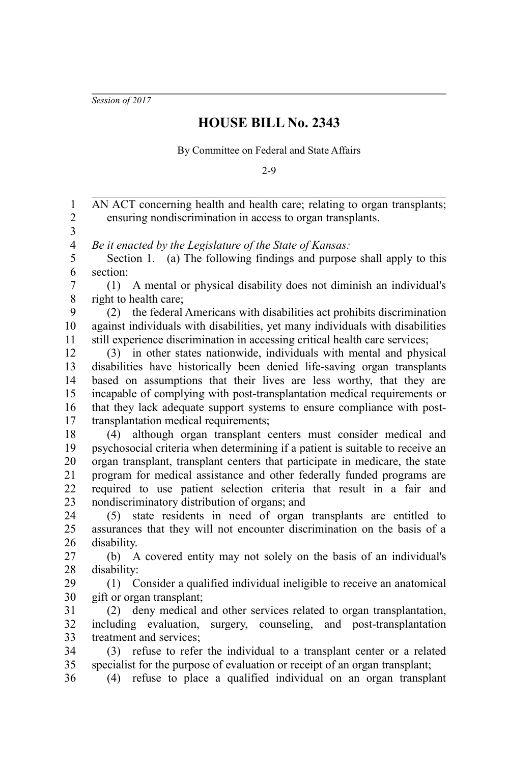*Session of 2017*

## **HOUSE BILL No. 2343**

By Committee on Federal and State Affairs

2-9

AN ACT concerning health and health care; relating to organ transplants; ensuring nondiscrimination in access to organ transplants. *Be it enacted by the Legislature of the State of Kansas:* Section 1. (a) The following findings and purpose shall apply to this section: (1) A mental or physical disability does not diminish an individual's right to health care; (2) the federal Americans with disabilities act prohibits discrimination against individuals with disabilities, yet many individuals with disabilities still experience discrimination in accessing critical health care services; (3) in other states nationwide, individuals with mental and physical disabilities have historically been denied life-saving organ transplants based on assumptions that their lives are less worthy, that they are incapable of complying with post-transplantation medical requirements or that they lack adequate support systems to ensure compliance with posttransplantation medical requirements; (4) although organ transplant centers must consider medical and psychosocial criteria when determining if a patient is suitable to receive an organ transplant, transplant centers that participate in medicare, the state program for medical assistance and other federally funded programs are required to use patient selection criteria that result in a fair and nondiscriminatory distribution of organs; and (5) state residents in need of organ transplants are entitled to assurances that they will not encounter discrimination on the basis of a disability. (b) A covered entity may not solely on the basis of an individual's disability: (1) Consider a qualified individual ineligible to receive an anatomical gift or organ transplant; (2) deny medical and other services related to organ transplantation, including evaluation, surgery, counseling, and post-transplantation treatment and services; (3) refuse to refer the individual to a transplant center or a related specialist for the purpose of evaluation or receipt of an organ transplant; (4) refuse to place a qualified individual on an organ transplant 1 2 3 4 5 6 7 8 9 10 11 12 13 14 15 16 17 18 19 20 21 22 23 24 25 26 27 28 29 30 31 32 33 34 35 36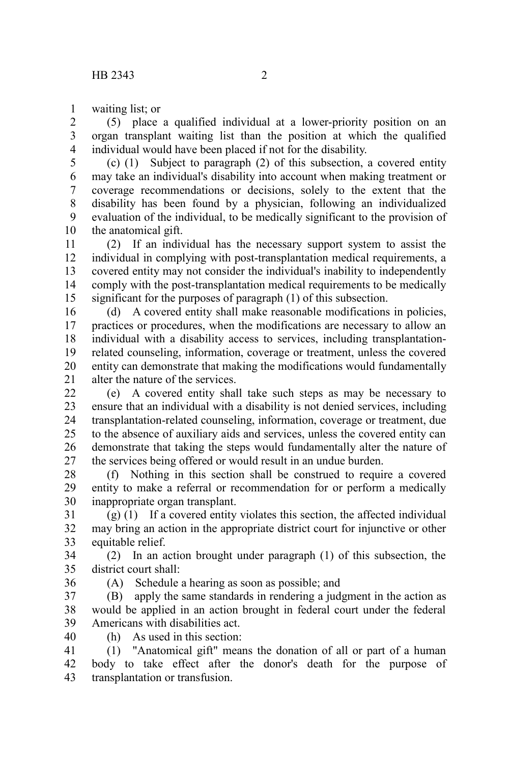waiting list; or 1

(5) place a qualified individual at a lower-priority position on an organ transplant waiting list than the position at which the qualified individual would have been placed if not for the disability. 2 3 4

(c) (1) Subject to paragraph (2) of this subsection, a covered entity may take an individual's disability into account when making treatment or coverage recommendations or decisions, solely to the extent that the disability has been found by a physician, following an individualized evaluation of the individual, to be medically significant to the provision of the anatomical gift. 5 6 7 8 9 10

(2) If an individual has the necessary support system to assist the individual in complying with post-transplantation medical requirements, a covered entity may not consider the individual's inability to independently comply with the post-transplantation medical requirements to be medically significant for the purposes of paragraph (1) of this subsection. 11 12 13 14 15

(d) A covered entity shall make reasonable modifications in policies, practices or procedures, when the modifications are necessary to allow an individual with a disability access to services, including transplantationrelated counseling, information, coverage or treatment, unless the covered entity can demonstrate that making the modifications would fundamentally alter the nature of the services. 16 17 18 19 20 21

(e) A covered entity shall take such steps as may be necessary to ensure that an individual with a disability is not denied services, including transplantation-related counseling, information, coverage or treatment, due to the absence of auxiliary aids and services, unless the covered entity can demonstrate that taking the steps would fundamentally alter the nature of the services being offered or would result in an undue burden. 22 23 24 25 26 27

(f) Nothing in this section shall be construed to require a covered entity to make a referral or recommendation for or perform a medically inappropriate organ transplant. 28 29 30

(g) (1) If a covered entity violates this section, the affected individual may bring an action in the appropriate district court for injunctive or other equitable relief. 31 32 33

(2) In an action brought under paragraph (1) of this subsection, the district court shall: 34 35

36

(A) Schedule a hearing as soon as possible; and

(B) apply the same standards in rendering a judgment in the action as would be applied in an action brought in federal court under the federal Americans with disabilities act. 37 38 39

40

(h) As used in this section:

(1) "Anatomical gift" means the donation of all or part of a human body to take effect after the donor's death for the purpose of transplantation or transfusion. 41 42 43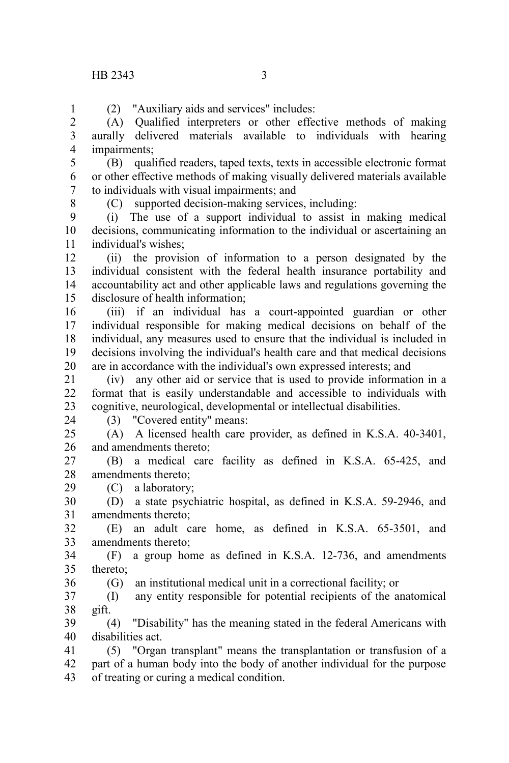(2) "Auxiliary aids and services" includes:

(A) Qualified interpreters or other effective methods of making aurally delivered materials available to individuals with hearing impairments; 2 3 4

(B) qualified readers, taped texts, texts in accessible electronic format or other effective methods of making visually delivered materials available to individuals with visual impairments; and 5 6 7

8

1

(C) supported decision-making services, including:

(i) The use of a support individual to assist in making medical decisions, communicating information to the individual or ascertaining an individual's wishes;  $\mathbf{Q}$ 10 11

(ii) the provision of information to a person designated by the individual consistent with the federal health insurance portability and accountability act and other applicable laws and regulations governing the disclosure of health information; 12 13 14 15

(iii) if an individual has a court-appointed guardian or other individual responsible for making medical decisions on behalf of the individual, any measures used to ensure that the individual is included in decisions involving the individual's health care and that medical decisions are in accordance with the individual's own expressed interests; and 16 17 18 19 20

(iv) any other aid or service that is used to provide information in a format that is easily understandable and accessible to individuals with cognitive, neurological, developmental or intellectual disabilities. 21 22 23

24

36

(3) "Covered entity" means:

(A) A licensed health care provider, as defined in K.S.A. 40-3401, and amendments thereto;  $25$ 26

(B) a medical care facility as defined in K.S.A. 65-425, and amendments thereto; 27 28 29

(C) a laboratory;

(D) a state psychiatric hospital, as defined in K.S.A. 59-2946, and amendments thereto; 30 31

(E) an adult care home, as defined in K.S.A. 65-3501, and amendments thereto; 32 33

(F) a group home as defined in K.S.A. 12-736, and amendments thereto; 34 35

(G) an institutional medical unit in a correctional facility; or

(I) any entity responsible for potential recipients of the anatomical gift. 37 38

(4) "Disability" has the meaning stated in the federal Americans with disabilities act. 39 40

(5) "Organ transplant" means the transplantation or transfusion of a part of a human body into the body of another individual for the purpose of treating or curing a medical condition. 41 42 43